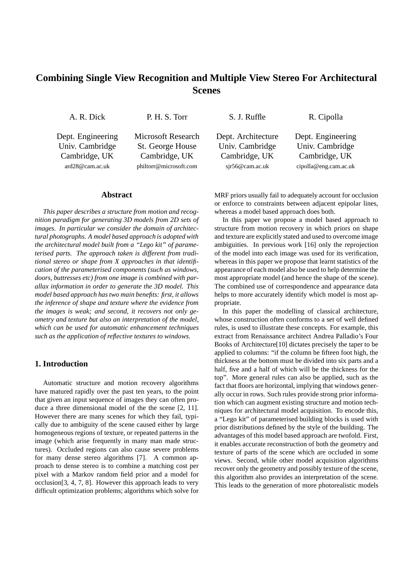# **Combining Single View Recognition and Multiple View Stereo For Architectural Scenes**

A. R. Dick P. H. S. Torr S. J. Ruffle R. Cipolla

Univ. Cambridge St. George House Univ. Cambridge Univ. Cambridge Cambridge, UK Cambridge, UK Cambridge, UK Cambridge, UK

Dept. Engineering Microsoft Research Dept. Architecture Dept. Engineering ard28@cam.ac.uk philtorr@microsoft.com sjr56@cam.ac.uk cipolla@eng.cam.ac.uk

> MRF priors usually fail to adequately account for occlusion or enforce to constraints between adjacent epipolar lines, whereas a model based approach does both.

> In this paper we propose a model based approach to structure from motion recovery in which priors on shape and texture are explicitly stated and used to overcome image ambiguities. In previous work [16] only the reprojection of the model into each image was used for its verification, whereas in this paper we propose that learnt statistics of the appearance of each model also be used to help determine the most appropriate model (and hence the shape of the scene). The combined use of correspondence and appearance data helps to more accurately identify which model is most appropriate.

> In this paper the modelling of classical architecture, whose construction often conforms to a set of well defined rules, is used to illustrate these concepts. For example, this extract from Renaissance architect Andrea Palladio's Four Books of Architecture[10] dictates precisely the taper to be applied to columns: "if the column be fifteen foot high, the thickness at the bottom must be divided into six parts and a half, five and a half of which will be the thickness for the top". More general rules can also be applied, such as the fact that floors are horizontal, implying that windows generally occur in rows. Such rules provide strong prior information which can augment existing structure and motion techniques for architectural model acquisition. To encode this, a "Lego kit" of parameterised building blocks is used with prior distributions defined by the style of the building. The advantages of this model based approach are twofold. First, it enables accurate reconstruction of both the geometry and texture of parts of the scene which are occluded in some views. Second, while other model acquisition algorithms recover only the geometry and possibly texture of the scene, this algorithm also provides an interpretation of the scene. This leads to the generation of more photorealistic models

#### **Abstract**

*This paper describes a structure from motion and recognition paradigm for generating 3D models from 2D sets of images. In particular we consider the domain of architectural photographs. A model based approach is adopted with the architectural model built from a "Lego kit" of parameterised parts. The approach taken is different from traditional stereo or shape from X approaches in that identification of the parameterised components (such as windows, doors, buttresses etc) from one image is combined with parallax information in order to generate the 3D model. This model based approach has two main benefits: first, it allows the inference of shape and texture where the evidence from the images is weak; and second, it recovers not only geometry and texture but also an interpretation of the model, which can be used for automatic enhancement techniques such as the application of reflective textures to windows.*

# **1. Introduction**

Automatic structure and motion recovery algorithms have matured rapidly over the past ten years, to the point that given an input sequence of images they can often produce a three dimensional model of the the scene [2, 11]. However there are many scenes for which they fail, typically due to ambiguity of the scene caused either by large homogeneous regions of texture, or repeated patterns in the image (which arise frequently in many man made structures). Occluded regions can also cause severe problems for many dense stereo algorithms [7]. A common approach to dense stereo is to combine a matching cost per pixel with a Markov random field prior and a model for occlusion[3, 4, 7, 8]. However this approach leads to very difficult optimization problems; algorithms which solve for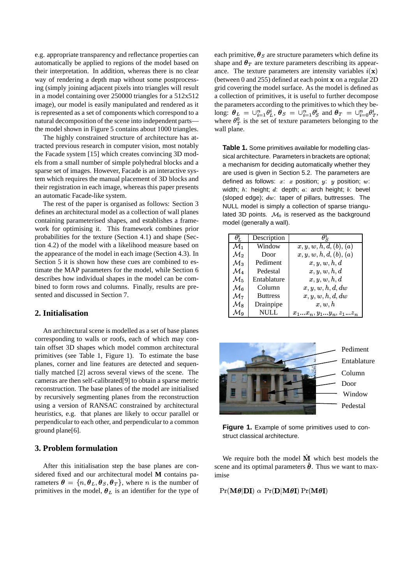e.g. appropriate transparency and reflectance properties can automatically be applied to regions of the model based on their interpretation. In addition, whereas there is no clear way of rendering a depth map without some postprocessing (simply joining adjacent pixels into triangles will result in a model containing over 250000 triangles for a 512x512 image), our model is easily manipulated and rendered as it is represented as a set of components which correspond to a natural decomposition of the scene into independent parts the model shown in Figure 5 contains about 1000 triangles.

The highly constrained structure of architecture has attracted previous research in computer vision, most notably the Facade system [15] which creates convincing 3D models from a small number of simple polyhedral blocks and a sparse set of images. However, Facade is an interactive system which requires the manual placement of 3D blocks and their registration in each image, whereas this paper presents an automatic Facade-like system.

The rest of the paper is organised as follows: Section 3 defines an architectural model as a collection of wall planes containing parameterised shapes, and establishes a framework for optimising it. This framework combines prior probabilities for the texture (Section 4.1) and shape (Section 4.2) of the model with a likelihood measure based on the appearance of the model in each image (Section 4.3). In Section 5 it is shown how these cues are combined to estimate the MAP parameters for the model, while Section 6 describes how individual shapes in the model can be combined to form rows and columns. Finally, results are presented and discussed in Section 7.

#### **2. Initialisation**

An architectural scene is modelled as a set of base planes corresponding to walls or roofs, each of which may contain offset 3D shapes which model common architectural primitives (see Table 1, Figure 1). To estimate the base planes, corner and line features are detected and sequentially matched [2] across several views of the scene. The cameras are then self-calibrated[9] to obtain a sparse metric reconstruction. The base planes of the model are initialised by recursively segmenting planes from the reconstruction using a version of RANSAC constrained by architectural heuristics, e.g. that planes are likely to occur parallel or perpendicularto each other, and perpendicular to a common ground plane[6].

# **3. Problem formulation**

After this initialisation step the base planes are considered fixed and our architectural model **M** contains parameters  $\boldsymbol{\theta} = \{n, \boldsymbol{\theta}_L, \boldsymbol{\theta}_S, \boldsymbol{\theta}_T\}$ , where *n* is the number of primitives in the model,  $\theta_L$  is an identifier for the type of each primitive,  $\theta_S$  are structure parameters which define its shape and  $\theta_T$  are texture parameters describing its appearance. The texture parameters are intensity variables  $i(\mathbf{x})$ (between 0 and 255) defined at each point  $\bf{x}$  on a regular 2D grid covering the model surface. As the model is defined as a collection of primitives, it is useful to further decompose the parameters according to the primitives to which they belong:  $\theta_L = \bigcup_{i=1}^n \theta_L^i$ ,  $\theta_S = \bigcup_{i=1}^n \theta_S^i$  and  $\theta_T = \bigcup_{i=0}^n \theta_T^i$ , where  $\theta_T^0$  is the set of texture parameters belonging to the wall plane.

**Table 1.** Some primitives available for modelling classical architecture. Parameters in brackets are optional; a mechanism for deciding automatically whether they are used is given in Section 5.2. The parameters are defined as follows:  $x: x$  position;  $y: y$  position;  $w: y$ width;  $h$ : height;  $d$ : depth;  $a$ : arch height;  $b$ : bevel (sloped edge);  $dw$ : taper of pillars, buttresses. The NULL model is simply a collection of sparse triangulated 3D points.  $M_0$  is reserved as the background model (generally a wall).

| $\theta^i_{\tau}$           | Description     | $\theta_{S}^{i}$         |  |
|-----------------------------|-----------------|--------------------------|--|
| $\mathcal{M}_1$             | Window          | x, y, w, h, d, (b), (a)  |  |
| $\mathcal{M}_2$             | Door            | x, y, w, h, d, (b), (a)  |  |
| $\mathcal{M}_3$             | Pediment        | x, y, w, h, d            |  |
| $\mathcal{M}_4$             | Pedestal        | x, y, w, h, d            |  |
| $\mathcal{M}_5$             | Entablature     | x, y, w, h, d            |  |
| $\mathcal{M}_{\mathcal{C}}$ | Column          | x, y, w, h, d, dw        |  |
| $\mathcal{M}_7$             | <b>Buttress</b> | x, y, w, h, d, dw        |  |
| $\mathcal{M}_8$             | Drainpipe       | x, w, h                  |  |
| $\mathcal{M}_9$             | NULL            | $x_1x_n, y_1y_n, z_1z_n$ |  |



**Figure 1.** Example of some primitives used to construct classical architecture.

We require both the model  $M$  which best models the scene and its optimal parameters  $\theta$ . Thus we want to maximise

 $\Pr(\mathbf{M}\boldsymbol{\theta}|\mathbf{D}\mathbf{I}) \propto \Pr(\mathbf{D}|\mathbf{M}\boldsymbol{\theta}\mathbf{I}) \Pr(\mathbf{M}\boldsymbol{\theta}\mathbf{I})$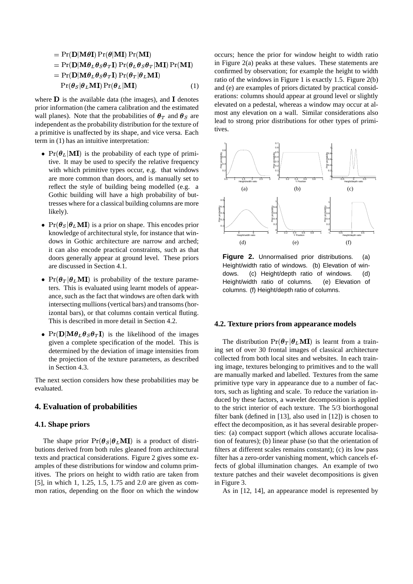$$
= Pr(D|\mathbf{M}\theta\mathbf{I}) Pr(\theta|\mathbf{M}\mathbf{I}) Pr(\mathbf{M}\mathbf{I})
$$
  
= Pr(D|\mathbf{M}\theta\_L \theta\_S \theta\_T\mathbf{I}) Pr(\theta\_L \theta\_S \theta\_T|\mathbf{M}\mathbf{I}) Pr(\mathbf{M}\mathbf{I})  
= Pr(\mathbf{D}|\mathbf{M}\theta\_L \theta\_S \theta\_T\mathbf{I}) Pr(\theta\_T|\theta\_L\mathbf{M}\mathbf{I})  
Pr(\theta\_S|\theta\_L\mathbf{M}\mathbf{I}) Pr(\theta\_L|\mathbf{M}\mathbf{I}) (1)

where  $\bf{D}$  is the available data (the images), and  $\bf{I}$  denotes prior information (the camera calibration and the estimated wall planes). Note that the probabilities of  $\theta_T$  and  $\theta_S$  are independent as the probability distribution for the texture of a primitive is unaffected by its shape, and vice versa. Each term in (1) has an intuitive interpretation:

- $Pr(\theta_L|\mathbf{MI})$  is the probability of each type of primitive. It may be used to specify the relative frequency with which primitive types occur, e.g. that windows are more common than doors, and is manually set to reflect the style of building being modelled (e.g. a Gothic building will have a high probability of buttresses where for a classical building columns are more likely).
- $\Pr(\theta_S | \theta_L \textbf{MI})$  is a prior on shape. This encodes prior knowledge of architectural style, for instance that windows in Gothic architecture are narrow and arched; it can also encode practical constraints, such as that doors generally appear at ground level. These priors are discussed in Section 4.1.
- $Pr(\theta_T | \theta_L \mathbf{M})$  is probability of the texture parameters. This is evaluated using learnt models of appearance, such as the fact that windows are often dark with intersecting mullions(vertical bars) and transoms(horizontal bars), or that columns contain vertical fluting. This is described in more detail in Section 4.2.
- $\Pr(\mathbf{D} | \mathbf{M}\boldsymbol{\theta}_L \boldsymbol{\theta}_S \boldsymbol{\theta}_T \mathbf{I})$  is the likelihood of the images given a complete specification of the model. This is determined by the deviation of image intensities from the projection of the texture parameters, as described in Section 4.3.

The next section considers how these probabilities may be evaluated.

## **4. Evaluation of probabilities**

#### **4.1. Shape priors**

The shape prior  $Pr(\theta_S | \theta_L M I)$  is a product of distributions derived from both rules gleaned from architectural texts and practical considerations. Figure 2 gives some examples of these distributions for window and column primitives. The priors on height to width ratio are taken from [5], in which 1, 1.25, 1.5, 1.75 and 2.0 are given as common ratios, depending on the floor on which the window occurs; hence the prior for window height to width ratio in Figure 2(a) peaks at these values. These statements are confirmed by observation; for example the height to width ratio of the windows in Figure 1 is exactly 1.5. Figure 2(b) and (e) are examples of priors dictated by practical considerations: columns should appear at ground level or slightly elevated on a pedestal, whereas a window may occur at almost any elevation on a wall. Similar considerations also lead to strong prior distributions for other types of primitives.



**Figure 2.** Unnormalised prior distributions. (a) Height/width ratio of windows. (b) Elevation of windows. (c) Height/depth ratio of windows. (d) Height/width ratio of columns. (e) Elevation of columns. (f) Height/depth ratio of columns.

#### **4.2. Texture priors from appearance models**

The distribution  $Pr(\theta_T | \theta_L M I)$  is learnt from a training set of over 30 frontal images of classical architecture collected from both local sites and websites. In each training image, textures belonging to primitives and to the wall are manually marked and labelled. Textures from the same primitive type vary in appearance due to a number of factors, such as lighting and scale. To reduce the variation induced by these factors, a wavelet decomposition is applied to the strict interior of each texture. The 5/3 biorthogonal filter bank (defined in [13], also used in [12]) is chosen to effect the decomposition, as it has several desirable properties: (a) compact support (which allows accurate localisation of features); (b) linear phase (so that the orientation of filters at different scales remains constant); (c) its low pass filter has a zero-order vanishing moment, which cancels effects of global illumination changes. An example of two texture patches and their wavelet decompositions is given in Figure 3.

As in [12, 14], an appearance model is represented by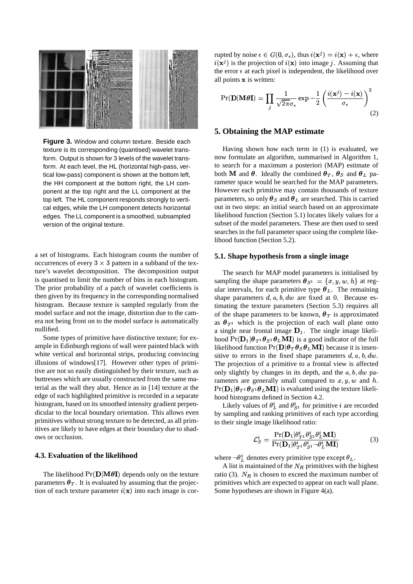

**Figure 3.** Window and column texture. Beside each texture is its corresponding (quantised) wavelet transform. Output is shown for 3 levels of the wavelet transform. At each level, the HL (horizontal high-pass, vertical low-pass) component is shown at the bottom left, the HH component at the bottom right, the LH component at the top right and the LL component at the top left. The HL component responds strongly to vertical edges, while the LH component detects horizontal edges. The LL component is a smoothed, subsampled version of the original texture.

a set of histograms. Each histogram counts the number of occurrences of every  $3 \times 3$  pattern in a subband of the texture's wavelet decomposition. The decomposition output is quantised to limit the number of bins in each histogram. The prior probability of a patch of wavelet coefficients is then given by its frequency in the corresponding normalised histogram. Because texture is sampled regularly from the model surface and not the image, distortion due to the camera not being front on to the model surface is automatically nullified.

Some types of primitive have distinctive texture; for example in Edinburgh regions of wall were painted black with white vertical and horizontal strips, producing convincing illusions of windows[17]. However other types of primitive are not so easily distinguished by their texture, such as buttresses which are usually constructed from the same material as the wall they abut. Hence as in [14] texture at the edge of each highlighted primitive is recorded in a separate histogram, based on its smoothed intensity gradient perpendicular to the local boundary orientation. This allows even primitives without strong texture to be detected, as all primitives are likely to have edges at their boundary due to shadows or occlusion.

## **4.3. Evaluation of the likelihood**

The likelihood  $Pr(\mathbf{D}|\mathbf{M}\boldsymbol{\theta})$  depends only on the texture parameters  $\theta_T$ . It is evaluated by assuming that the projection of each texture parameter  $i(\mathbf{x})$  into each image is cor-

rupted by noise  $\epsilon \in G(0, \sigma_{\epsilon})$ , thus  $i(\mathbf{x}^j) = i(\mathbf{x}) + \epsilon$ , where  $i(\mathbf{x}^j)$  is the projection of  $i(\mathbf{x})$  into image j. Assuming that the error  $\epsilon$  at each pixel is independent, the likelihood over all points  $\bf{x}$  is written:

$$
\Pr(\mathbf{D}|\mathbf{M}\boldsymbol{\theta}\mathbf{I}) = \prod_{j} \frac{1}{\sqrt{2\pi}\sigma_{\epsilon}} \exp{-\frac{1}{2} \left( \frac{i(\mathbf{x}^{j}) - i(\mathbf{x})}{\sigma_{\epsilon}} \right)^{2}}
$$
(2)

## **5. Obtaining the MAP estimate**

Having shown how each term in (1) is evaluated, we now formulate an algorithm, summarised in Algorithm 1, to search for a maximum a posteriori (MAP) estimate of both **M** and  $\theta$ . Ideally the combined  $\theta_T$ ,  $\theta_S$  and  $\theta_L$  parameter space would be searched for the MAP parameters. However each primitive may contain thousands of texture parameters, so only  $\theta_{S}$  and  $\theta_{L}$  are searched. This is carried out in two steps: an initial search based on an approximate likelihood function (Section 5.1) locates likely values for a subset of the model parameters. These are then used to seed searches in the full parameter space using the complete likelihood function (Section 5.2).

#### **5.1. Shape hypothesis from a single image**

The search for MAP model parameters is initialised by sampling the shape parameters  $\theta_{S^1} = \{x, y, w, h\}$  at regular intervals, for each primitive type  $\theta_L$ . The remaining shape parameters  $d, a, b, dw$  are fixed at 0. Because estimating the texture parameters (Section 5.3) requires all of the shape parameters to be known,  $\theta_T$  is approximated as  $\theta_{T^1}$  which is the projection of each wall plane onto a single near frontal image  $D_1$ . The single image likelihood Pr $(\mathbf{D}_1 | \boldsymbol{\theta}_{T^1} \boldsymbol{\theta}_{S^1} \boldsymbol{\theta}_L \mathbf{M} \mathbf{I})$  is a good indicator of the full likelihood function  $\Pr(\mathbf{D} | \boldsymbol{\theta}_T \boldsymbol{\theta}_S \boldsymbol{\theta}_L \mathbf{M} \mathbf{I})$  because it is insensitive to errors in the fixed shape parameters  $d, a, b, dw$ . The projection of a primitive to a frontal view is affected only slightly by changes in its depth, and the  $a, b, dw$  parameters are generally small compared to  $x, y, w$  and h.  $Pr(\mathbf{D}_1 | \boldsymbol{\theta}_{T^1} \boldsymbol{\theta}_{S^1} \boldsymbol{\theta}_L \mathbf{M} \mathbf{I})$  is evaluated using the texture likelihood histograms defined in Section 4.2. ֖֖֖֖֖֖֖֖֖֧֪֪֪ׅ֦֧֪֖֧֪֪֪֪֪֦֖֧֖֪֪֪֪֪֪֪֪֪֪֪֪֪֪֪֪֪֚֚֚֚֚֚֚֚֚֚֚֚֚֚֚֡֬֝֝֝֝֬֝֓֝֬֝֓֝֬֝֬֝֞֝֝֝֝֝֬

Likely values of  $\theta_{L}^{i}$  and  $\theta_{S_1}^{i}$  for primitive *i* are recorded by sampling and ranking primitives of each type according to their single image likelihood ratio:

$$
\mathcal{L}_S^i = \frac{\Pr(\mathbf{D}_1 | \theta_{T^1}^i \theta_{S^1}^i \theta_L^i \mathbf{M} \mathbf{I})}{\Pr(\mathbf{D}_1 | \theta_{T^1}^i \theta_{S^1}^i \neg \theta_L^i \mathbf{M} \mathbf{I})}
$$
(3)

where  $\neg \theta_L^i$  denotes every primitive type except  $\theta_L$ .

A list is maintained of the  $N_R$  primitives with the highest ratio (3).  $N_R$  is chosen to exceed the maximum number of primitives which are expected to appear on each wall plane. Some hypotheses are shown in Figure 4(a).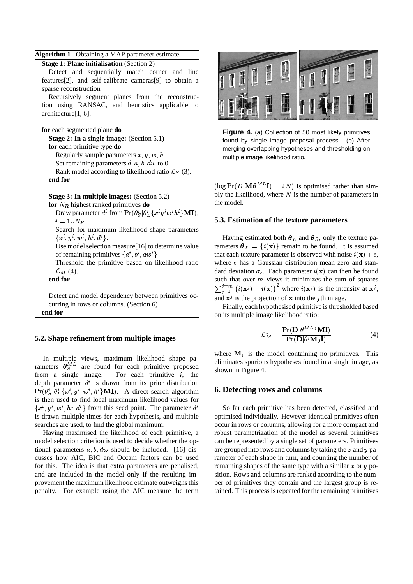#### **Algorithm 1** Obtaining a MAP parameter estimate.

#### **Stage 1: Plane initialisation** (Section 2)

Detect and sequentially match corner and line features[2], and self-calibrate cameras[9] to obtain a sparse reconstruction

Recursively segment planes from the reconstruction using RANSAC, and heuristics applicable to architecture[1, 6].

#### **for** each segmented plane **do**

**Stage 2: In a single image:** (Section 5.1) **for** each primitive type **do** Regularly sample parameters  $x, y, w, h$ Set remaining parameters  $d, a, b, dw$  to 0. Rank model according to likelihood ratio  $\mathcal{L}_S$  (3). **end for**

# **Stage 3: In multiple images:** (Section 5.2)

**for**  $N_R$  highest ranked primitives **do** Draw parameter  $d^i$  from  $\Pr(\theta_S^i | \theta_L^i \{x^i y^i w^i h^i\} \mathbf{M} \mathbf{I}),$ .<br>.

 $i=1..N_R$ 

Search for maximum likelihood shape parameters  $\{x^i,y^i,w^i,h^i,d^i\}.$ 

Use model selection measure[16] to determine value of remaining primitives  $\{a^i, b^i, dw^i\}$ 

Threshold the primitive based on likelihood ratio  $\mathcal{L}_M$  (4).

**end for**

Detect and model dependency between primitives occurring in rows or columns. (Section 6) **end for**

## **5.2. Shape refinement from multiple images**

In multiple views, maximum likelihood shape pa rameters  $\theta_S^{ML}$  are found for each primitive proposed For each primitive  $i$ , the depth parameter  $d^i$  is drawn from its prior distribution from a single image.  $\Pr(\theta^i_S | \theta^i_L \{x^i, y^i, w^i, h^i\})$  A direct search algorithm .<br>. is then used to find local maximum likelihood values for  ${x^i, y^i, w^i, h^i, d^i}$  from this seed point. The parameter  $d^i$  S is drawn multiple times for each hypothesis, and multiple searches are used, to find the global maximum.

Having maximised the likelihood of each primitive, a model selection criterion is used to decide whether the optional parameters  $a, b, dw$  should be included. [16] discusses how AIC, BIC and Occam factors can be used for this. The idea is that extra parameters are penalised, and are included in the model only if the resulting improvement the maximum likelihood estimate outweighsthis penalty. For example using the AIC measure the term



**Figure 4.** (a) Collection of 50 most likely primitives found by single image proposal process. (b) After merging overlapping hypotheses and thresholding on multiple image likelihood ratio.

 $(\log Pr(D|\mathbf{M}\boldsymbol{\theta}^{ML}\mathbf{I}) - 2N)$  is optimised rather than simply the likelihood, where  $N$  is the number of parameters in the model.

## **5.3. Estimation of the texture parameters**

Having estimated both  $\theta_L$  and  $\theta_S$ , only the texture parameters  $\boldsymbol{\theta}_T = \{i(\mathbf{x})\}$  remain to be found. It is assumed that each texture parameter is observed with noise  $i(\mathbf{x}) + \epsilon$ , where  $\epsilon$  has a Gaussian distribution mean zero and standard deviation  $\sigma_{\epsilon}$ . Each parameter  $i(\mathbf{x})$  can then be found such that over  $m$  views it minimizes the sum of squares  $\sum_{j=1}^{j=m} (i(\mathbf{x}^j) - i(\mathbf{x}))^2$  where  $i(\mathbf{x}^j)$  is the intensity at  $\mathbf{x}^j$ , and  $\mathbf{x}^j$  is the projection of  $\mathbf x$  into the *j*th image.

Finally, each hypothesised primitive is thresholded based on its multiple image likelihood ratio:

$$
\mathcal{L}_M^i = \frac{\Pr(\mathbf{D}|\theta^{ML,i}\mathbf{M}\mathbf{I})}{\Pr(\mathbf{D}|\theta^i\mathbf{M}_0\mathbf{I})}
$$
(4)

where  $M_0$  is the model containing no primitives. This eliminates spurious hypotheses found in a single image, as shown in Figure 4.

#### **6. Detecting rows and columns**

So far each primitive has been detected, classified and optimised individually. However identical primitives often occur in rows or columns, allowing for a more compact and robust parametrization of the model as several primitives can be represented by a single set of parameters. Primitives are grouped into rows and columns by taking the  $x$  and  $y$  parameter of each shape in turn, and counting the number of remaining shapes of the same type with a similar  $x$  or  $y$  position. Rows and columns are ranked according to the number of primitives they contain and the largest group is retained. This process is repeated for the remaining primitives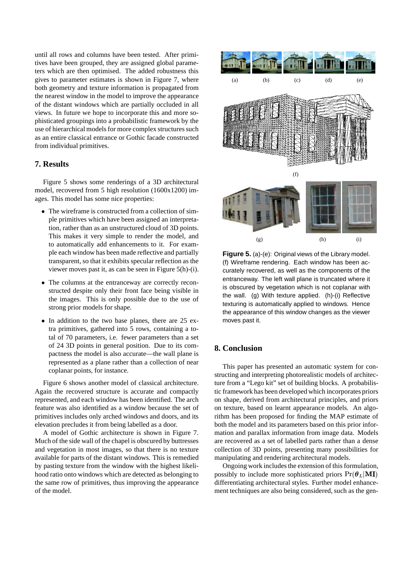until all rows and columns have been tested. After primitives have been grouped, they are assigned global parameters which are then optimised. The added robustness this gives to parameter estimates is shown in Figure 7, where both geometry and texture information is propagated from the nearest window in the model to improve the appearance of the distant windows which are partially occluded in all views. In future we hope to incorporate this and more sophisticated groupings into a probabilistic framework by the use of hierarchical models for more complex structures such as an entire classical entrance or Gothic facade constructed from individual primitives.

# **7. Results**

Figure 5 shows some renderings of a 3D architectural model, recovered from 5 high resolution (1600x1200) images. This model has some nice properties:

- The wireframe is constructed from a collection of simple primitives which have been assigned an interpretation, rather than as an unstructured cloud of 3D points. This makes it very simple to render the model, and to automatically add enhancements to it. For example each window has been made reflective and partially transparent, so that it exhibits specular reflection as the viewer moves past it, as can be seen in Figure 5(h)-(i).
- The columns at the entranceway are correctly reconstructed despite only their front face being visible in the images. This is only possible due to the use of strong prior models for shape.
- In addition to the two base planes, there are 25 extra primitives, gathered into 5 rows, containing a total of 70 parameters, i.e. fewer parameters than a set of 24 3D points in general position. Due to its compactness the model is also accurate—the wall plane is represented as a plane rather than a collection of near coplanar points, for instance.

Figure 6 shows another model of classical architecture. Again the recovered structure is accurate and compactly represented, and each window has been identified. The arch feature was also identified as a window because the set of primitives includes only arched windows and doors, and its elevation precludes it from being labelled as a door.

A model of Gothic architecture is shown in Figure 7. Much of the side wall of the chapel is obscured by buttresses and vegetation in most images, so that there is no texture available for parts of the distant windows. This is remedied by pasting texture from the window with the highest likelihood ratio onto windows which are detected as belonging to the same row of primitives, thus improving the appearance of the model.



**Figure 5.** (a)-(e): Original views of the Library model. (f) Wireframe rendering. Each window has been accurately recovered, as well as the components of the entranceway. The left wall plane is truncated where it is obscured by vegetation which is not coplanar with the wall. (g) With texture applied. (h)-(i) Reflective texturing is automatically applied to windows. Hence the appearance of this window changes as the viewer moves past it.

# **8. Conclusion**

This paper has presented an automatic system for constructing and interpreting photorealistic models of architecture from a "Lego kit" set of building blocks. A probabilistic framework has been developed which incorporates priors on shape, derived from architectural principles, and priors on texture, based on learnt appearance models. An algorithm has been proposed for finding the MAP estimate of both the model and its parameters based on this prior information and parallax information from image data. Models are recovered as a set of labelled parts rather than a dense collection of 3D points, presenting many possibilities for manipulating and rendering architectural models.

Ongoing work includes the extension of this formulation, possibly to include more sophisticated priors  $Pr(\theta_L|\textbf{MI})$ differentiating architectural styles. Further model enhancement techniques are also being considered, such as the gen-